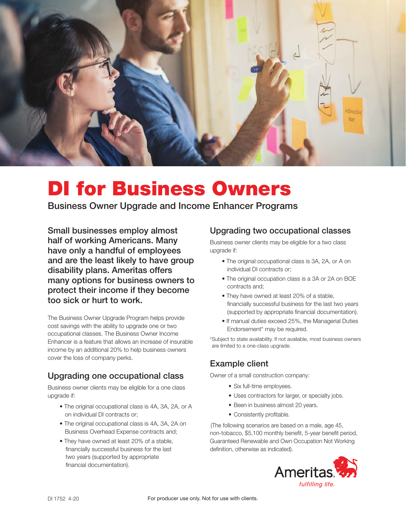

# DI for Business Owners

Business Owner Upgrade and Income Enhancer Programs

Small businesses employ almost half of working Americans. Many have only a handful of employees and are the least likely to have group disability plans. Ameritas offers many options for business owners to protect their income if they become too sick or hurt to work.

The Business Owner Upgrade Program helps provide cost savings with the ability to upgrade one or two occupational classes. The Business Owner Income Enhancer is a feature that allows an increase of insurable income by an additional 20% to help business owners cover the loss of company perks.

### Upgrading one occupational class

Business owner clients may be eligible for a one class upgrade if:

- The original occupational class is 4A, 3A, 2A, or A on individual DI contracts or;
- The original occupational class is 4A, 3A, 2A on Business Overhead Expense contracts and;
- They have owned at least 20% of a stable, financially successful business for the last two years (supported by appropriate financial documentation).

## Upgrading two occupational classes

Business owner clients may be eligible for a two class upgrade if:

- The original occupational class is 3A, 2A, or A on individual DI contracts or;
- The original occupation class is a 3A or 2A on BOE contracts and;
- They have owned at least 20% of a stable, financially successful business for the last two years (supported by appropriate financial documentation).
- If manual duties exceed 25%, the Managerial Duties Endorsement\* may be required.

\*Subject to state availability. If not available, most business owners are limited to a one-class upgrade.

# Example client

Owner of a small construction company:

- Six full-time employees.
- Uses contractors for larger, or specialty jobs.
- Been in business almost 20 years.
- Consistently profitable.

(The following scenarios are based on a male, age 45, non-tobacco, \$5,100 monthly benefit, 5-year benefit period, Guaranteed Renewable and Own Occupation Not Working definition, otherwise as indicated).

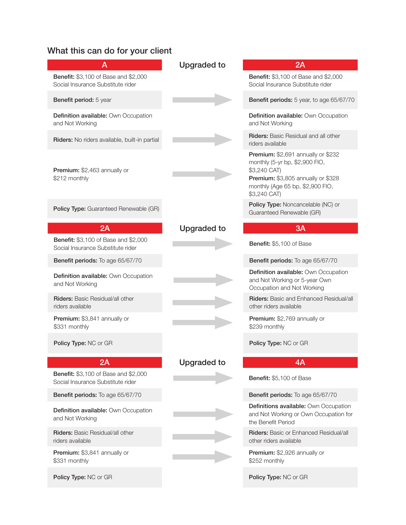# What this can do for your client

| A                                                                                | <b>Upgraded to</b> | 2A                                                                                                                                                                             |
|----------------------------------------------------------------------------------|--------------------|--------------------------------------------------------------------------------------------------------------------------------------------------------------------------------|
| Benefit: \$3,100 of Base and \$2,000<br>Social Insurance Substitute rider        |                    | <b>Benefit:</b> \$3,100 of Base and \$2,000<br>Social Insurance Substitute rider                                                                                               |
| Benefit period: 5 year                                                           |                    | Benefit periods: 5 year, to age 65/67/70                                                                                                                                       |
| Definition available: Own Occupation<br>and Not Working                          |                    | Definition available: Own Occupation<br>and Not Working                                                                                                                        |
| Riders: No riders available, built-in partial                                    |                    | <b>Riders:</b> Basic Residual and all other<br>riders available                                                                                                                |
| Premium: \$2,463 annually or<br>\$212 monthly                                    |                    | Premium: \$2,691 annually or \$232<br>monthly (5-yr bp, \$2,900 FIO,<br>\$3,240 CAT)<br>Premium: \$3,805 annually or \$328<br>monthly (Age 65 bp, \$2,900 FIO,<br>\$3,240 CAT) |
| Policy Type: Guaranteed Renewable (GR)                                           |                    | Policy Type: Noncancelable (NC) or<br>Guaranteed Renewable (GR)                                                                                                                |
| 2A                                                                               | <b>Upgraded to</b> | 3A                                                                                                                                                                             |
| <b>Benefit:</b> \$3,100 of Base and \$2,000<br>Social Insurance Substitute rider |                    | Benefit: \$5,100 of Base                                                                                                                                                       |
| Benefit periods: To age 65/67/70                                                 |                    | Benefit periods: To age 65/67/70                                                                                                                                               |
| Definition available: Own Occupation<br>and Not Working                          |                    | Definition available: Own Occupation<br>and Not Working or 5-year Own<br>Occupation and Not Working                                                                            |
| <b>Riders:</b> Basic Residual/all other<br>riders available                      |                    | <b>Riders: Basic and Enhanced Residual/all</b><br>other riders available                                                                                                       |
| Premium: \$3,841 annually or<br>\$331 monthly                                    |                    | Premium: \$2,769 annually or<br>\$239 monthly                                                                                                                                  |
| Policy Type: NC or GR                                                            |                    | Policy Type: NC or GR                                                                                                                                                          |
| 2A                                                                               | <b>Upgraded to</b> | 4A                                                                                                                                                                             |
| <b>Benefit:</b> \$3,100 of Base and \$2,000<br>Social Insurance Substitute rider |                    | Benefit: \$5,100 of Base                                                                                                                                                       |
| Benefit periods: To age 65/67/70                                                 |                    | Benefit periods: To age 65/67/70                                                                                                                                               |
| Definition available: Own Occupation<br>and Not Working                          |                    | Definitions available: Own Occupation<br>and Not Working or Own Occupation for<br>the Benefit Period                                                                           |
| <b>Riders: Basic Residual/all other</b><br>riders available                      |                    | <b>Riders:</b> Basic or Enhanced Residual/all<br>other riders available                                                                                                        |
| Premium: \$3,841 annually or<br>\$331 monthly                                    |                    | Premium: \$2,926 annually or<br>\$252 monthly                                                                                                                                  |
| Policy Type: NC or GR                                                            |                    | Policy Type: NC or GR                                                                                                                                                          |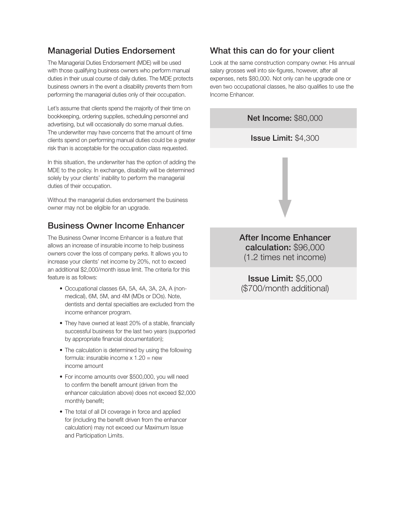### Managerial Duties Endorsement

The Managerial Duties Endorsement (MDE) will be used with those qualifying business owners who perform manual duties in their usual course of daily duties. The MDE protects business owners in the event a disability prevents them from performing the managerial duties only of their occupation.

Let's assume that clients spend the majority of their time on bookkeeping, ordering supplies, scheduling personnel and advertising, but will occasionally do some manual duties. The underwriter may have concerns that the amount of time clients spend on performing manual duties could be a greater risk than is acceptable for the occupation class requested.

In this situation, the underwriter has the option of adding the MDE to the policy. In exchange, disability will be determined solely by your clients' inability to perform the managerial duties of their occupation.

Without the managerial duties endorsement the business owner may not be eligible for an upgrade.

#### Business Owner Income Enhancer

The Business Owner Income Enhancer is a feature that allows an increase of insurable income to help business owners cover the loss of company perks. It allows you to increase your clients' net income by 20%, not to exceed an additional \$2,000/month issue limit. The criteria for this feature is as follows:

- Occupational classes 6A, 5A, 4A, 3A, 2A, A (nonmedical), 6M, 5M, and 4M (MDs or DOs). Note, dentists and dental specialties are excluded from the income enhancer program.
- They have owned at least 20% of a stable, financially successful business for the last two years (supported by appropriate financial documentation);
- The calculation is determined by using the following formula: insurable income  $x$  1.20 = new income amount
- For income amounts over \$500,000, you will need to confirm the benefit amount (driven from the enhancer calculation above) does not exceed \$2,000 monthly benefit;
- The total of all DI coverage in force and applied for (including the benefit driven from the enhancer calculation) may not exceed our Maximum Issue and Participation Limits.

### What this can do for your client

Look at the same construction company owner. His annual salary grosses well into six-figures, however, after all expenses, nets \$80,000. Not only can he upgrade one or even two occupational classes, he also qualifies to use the Income Enhancer.



After Income Enhancer calculation: \$96,000 (1.2 times net income)

Issue Limit: \$5,000 (\$700/month additional)